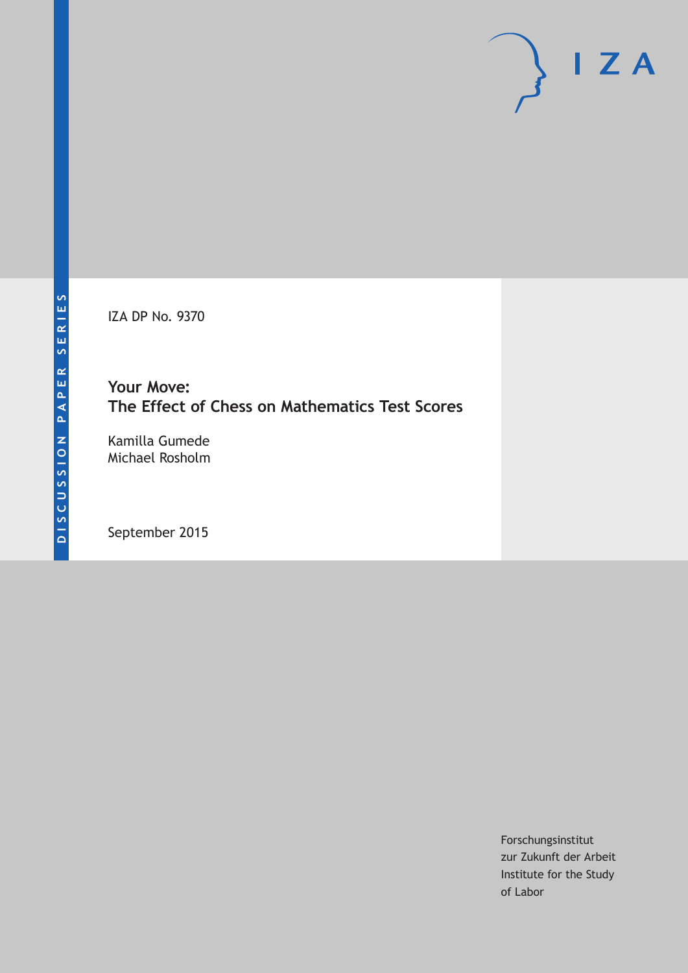IZA DP No. 9370

### **Your Move: The Effect of Chess on Mathematics Test Scores**

Kamilla Gumede Michael Rosholm

September 2015

Forschungsinstitut zur Zukunft der Arbeit Institute for the Study of Labor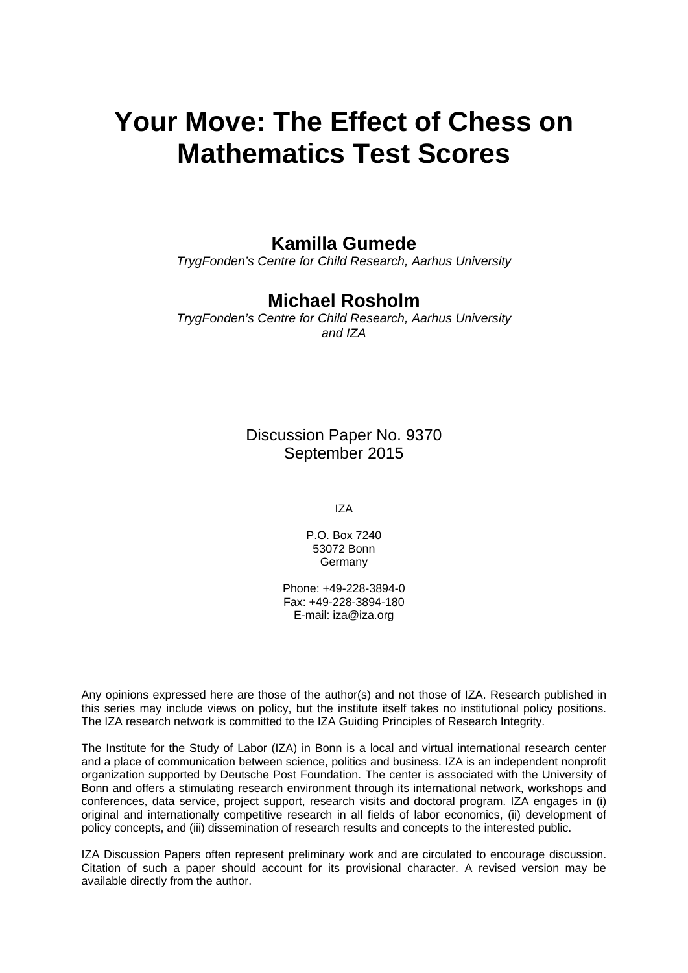# **Your Move: The Effect of Chess on Mathematics Test Scores**

### **Kamilla Gumede**

*TrygFonden's Centre for Child Research, Aarhus University* 

### **Michael Rosholm**

*TrygFonden's Centre for Child Research, Aarhus University and IZA* 

> Discussion Paper No. 9370 September 2015

> > IZA

P.O. Box 7240 53072 Bonn **Germany** 

Phone: +49-228-3894-0 Fax: +49-228-3894-180 E-mail: iza@iza.org

Any opinions expressed here are those of the author(s) and not those of IZA. Research published in this series may include views on policy, but the institute itself takes no institutional policy positions. The IZA research network is committed to the IZA Guiding Principles of Research Integrity.

The Institute for the Study of Labor (IZA) in Bonn is a local and virtual international research center and a place of communication between science, politics and business. IZA is an independent nonprofit organization supported by Deutsche Post Foundation. The center is associated with the University of Bonn and offers a stimulating research environment through its international network, workshops and conferences, data service, project support, research visits and doctoral program. IZA engages in (i) original and internationally competitive research in all fields of labor economics, (ii) development of policy concepts, and (iii) dissemination of research results and concepts to the interested public.

IZA Discussion Papers often represent preliminary work and are circulated to encourage discussion. Citation of such a paper should account for its provisional character. A revised version may be available directly from the author.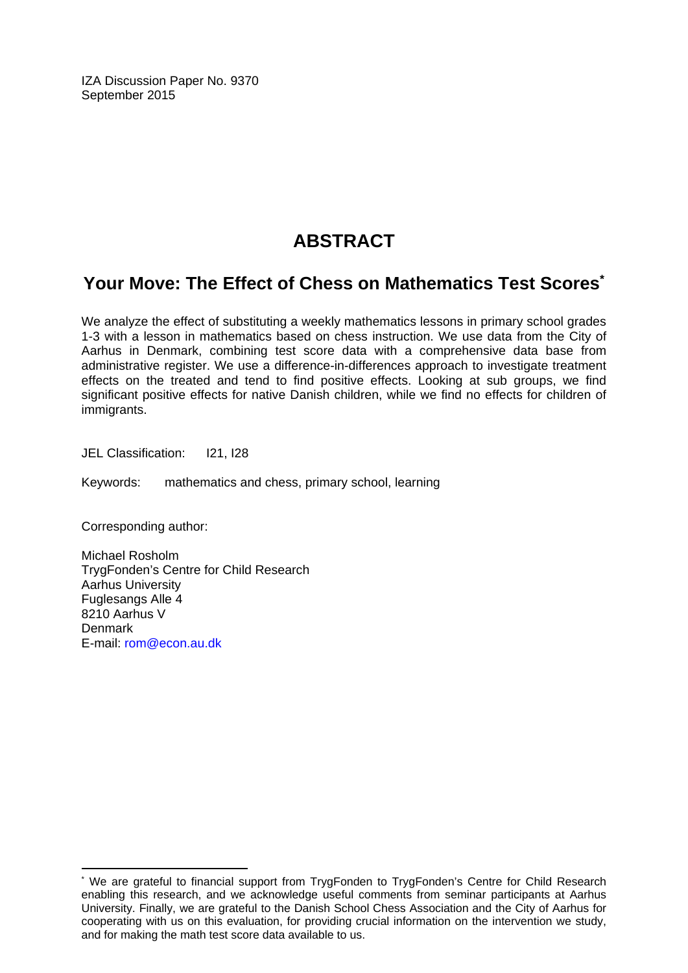IZA Discussion Paper No. 9370 September 2015

# **ABSTRACT**

### **Your Move: The Effect of Chess on Mathematics Test Scores\***

We analyze the effect of substituting a weekly mathematics lessons in primary school grades 1-3 with a lesson in mathematics based on chess instruction. We use data from the City of Aarhus in Denmark, combining test score data with a comprehensive data base from administrative register. We use a difference-in-differences approach to investigate treatment effects on the treated and tend to find positive effects. Looking at sub groups, we find significant positive effects for native Danish children, while we find no effects for children of immigrants.

JEL Classification: I21, I28

Keywords: mathematics and chess, primary school, learning

Corresponding author:

 $\overline{\phantom{a}}$ 

Michael Rosholm TrygFonden's Centre for Child Research Aarhus University Fuglesangs Alle 4 8210 Aarhus V **Denmark** E-mail: rom@econ.au.dk

<sup>\*</sup> We are grateful to financial support from TrygFonden to TrygFonden's Centre for Child Research enabling this research, and we acknowledge useful comments from seminar participants at Aarhus University. Finally, we are grateful to the Danish School Chess Association and the City of Aarhus for cooperating with us on this evaluation, for providing crucial information on the intervention we study, and for making the math test score data available to us.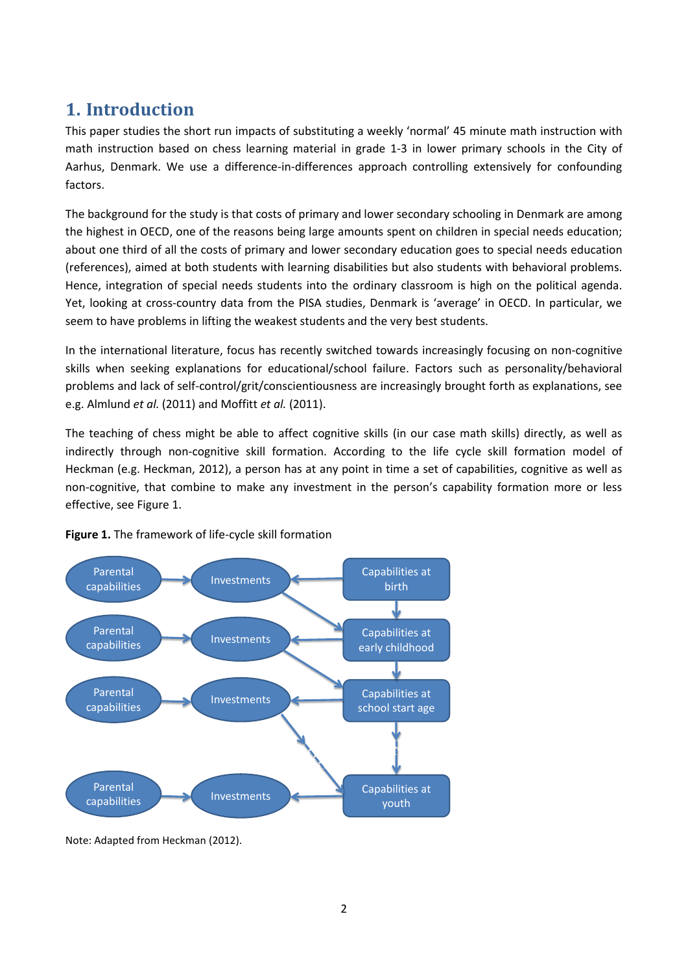## **1. Introduction**

This paper studies the short run impacts of substituting a weekly 'normal' 45 minute math instruction with math instruction based on chess learning material in grade 1-3 in lower primary schools in the City of Aarhus, Denmark. We use a difference-in-differences approach controlling extensively for confounding factors.

The background for the study is that costs of primary and lower secondary schooling in Denmark are among the highest in OECD, one of the reasons being large amounts spent on children in special needs education; about one third of all the costs of primary and lower secondary education goes to special needs education (references), aimed at both students with learning disabilities but also students with behavioral problems. Hence, integration of special needs students into the ordinary classroom is high on the political agenda. Yet, looking at cross-country data from the PISA studies, Denmark is 'average' in OECD. In particular, we seem to have problems in lifting the weakest students and the very best students.

In the international literature, focus has recently switched towards increasingly focusing on non-cognitive skills when seeking explanations for educational/school failure. Factors such as personality/behavioral problems and lack of self-control/grit/conscientiousness are increasingly brought forth as explanations, see e.g. Almlund *et al.* (2011) and Moffitt *et al.* (2011).

The teaching of chess might be able to affect cognitive skills (in our case math skills) directly, as well as indirectly through non-cognitive skill formation. According to the life cycle skill formation model of Heckman (e.g. Heckman, 2012), a person has at any point in time a set of capabilities, cognitive as well as non-cognitive, that combine to make any investment in the person's capability formation more or less effective, see Figure 1.





Note: Adapted from Heckman (2012).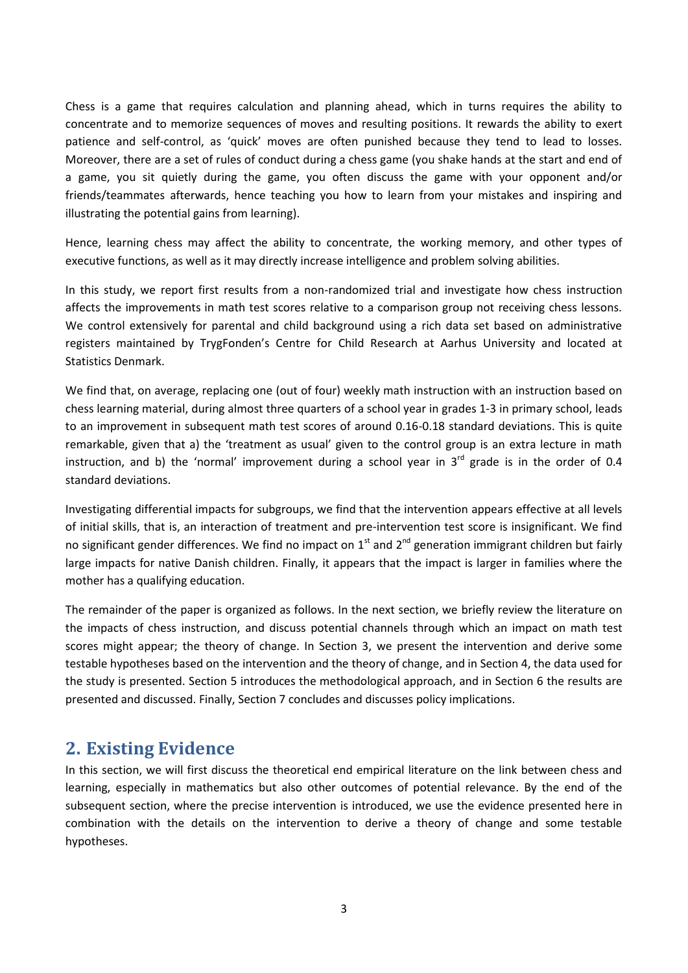Chess is a game that requires calculation and planning ahead, which in turns requires the ability to concentrate and to memorize sequences of moves and resulting positions. It rewards the ability to exert patience and self-control, as 'quick' moves are often punished because they tend to lead to losses. Moreover, there are a set of rules of conduct during a chess game (you shake hands at the start and end of a game, you sit quietly during the game, you often discuss the game with your opponent and/or friends/teammates afterwards, hence teaching you how to learn from your mistakes and inspiring and illustrating the potential gains from learning).

Hence, learning chess may affect the ability to concentrate, the working memory, and other types of executive functions, as well as it may directly increase intelligence and problem solving abilities.

In this study, we report first results from a non-randomized trial and investigate how chess instruction affects the improvements in math test scores relative to a comparison group not receiving chess lessons. We control extensively for parental and child background using a rich data set based on administrative registers maintained by TrygFonden's Centre for Child Research at Aarhus University and located at Statistics Denmark.

We find that, on average, replacing one (out of four) weekly math instruction with an instruction based on chess learning material, during almost three quarters of a school year in grades 1-3 in primary school, leads to an improvement in subsequent math test scores of around 0.16-0.18 standard deviations. This is quite remarkable, given that a) the 'treatment as usual' given to the control group is an extra lecture in math instruction, and b) the 'normal' improvement during a school year in  $3<sup>rd</sup>$  grade is in the order of 0.4 standard deviations.

Investigating differential impacts for subgroups, we find that the intervention appears effective at all levels of initial skills, that is, an interaction of treatment and pre-intervention test score is insignificant. We find no significant gender differences. We find no impact on  $1<sup>st</sup>$  and  $2<sup>nd</sup>$  generation immigrant children but fairly large impacts for native Danish children. Finally, it appears that the impact is larger in families where the mother has a qualifying education.

The remainder of the paper is organized as follows. In the next section, we briefly review the literature on the impacts of chess instruction, and discuss potential channels through which an impact on math test scores might appear; the theory of change. In Section 3, we present the intervention and derive some testable hypotheses based on the intervention and the theory of change, and in Section 4, the data used for the study is presented. Section 5 introduces the methodological approach, and in Section 6 the results are presented and discussed. Finally, Section 7 concludes and discusses policy implications.

### **2. Existing Evidence**

In this section, we will first discuss the theoretical end empirical literature on the link between chess and learning, especially in mathematics but also other outcomes of potential relevance. By the end of the subsequent section, where the precise intervention is introduced, we use the evidence presented here in combination with the details on the intervention to derive a theory of change and some testable hypotheses.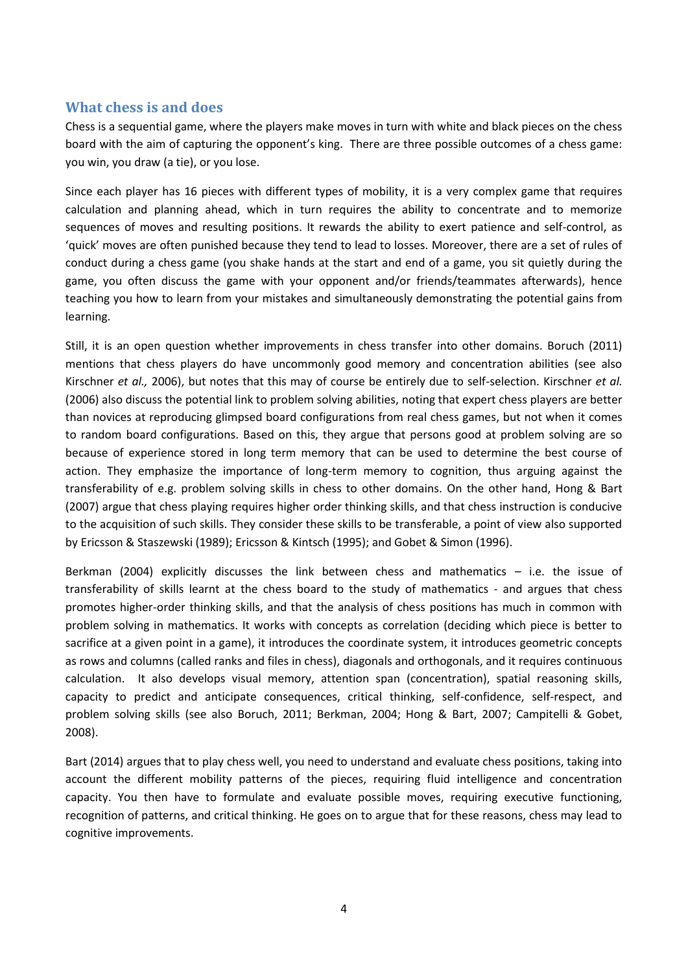#### **What chess is and does**

Chess is a sequential game, where the players make moves in turn with white and black pieces on the chess board with the aim of capturing the opponent's king. There are three possible outcomes of a chess game: you win, you draw (a tie), or you lose.

Since each player has 16 pieces with different types of mobility, it is a very complex game that requires calculation and planning ahead, which in turn requires the ability to concentrate and to memorize sequences of moves and resulting positions. It rewards the ability to exert patience and self-control, as 'quick' moves are often punished because they tend to lead to losses. Moreover, there are a set of rules of conduct during a chess game (you shake hands at the start and end of a game, you sit quietly during the game, you often discuss the game with your opponent and/or friends/teammates afterwards), hence teaching you how to learn from your mistakes and simultaneously demonstrating the potential gains from learning.

Still, it is an open question whether improvements in chess transfer into other domains. Boruch (2011) mentions that chess players do have uncommonly good memory and concentration abilities (see also Kirschner *et al.,* 2006), but notes that this may of course be entirely due to self-selection. Kirschner *et al.*  (2006) also discuss the potential link to problem solving abilities, noting that expert chess players are better than novices at reproducing glimpsed board configurations from real chess games, but not when it comes to random board configurations. Based on this, they argue that persons good at problem solving are so because of experience stored in long term memory that can be used to determine the best course of action. They emphasize the importance of long-term memory to cognition, thus arguing against the transferability of e.g. problem solving skills in chess to other domains. On the other hand, Hong & Bart (2007) argue that chess playing requires higher order thinking skills, and that chess instruction is conducive to the acquisition of such skills. They consider these skills to be transferable, a point of view also supported by Ericsson & Staszewski (1989); Ericsson & Kintsch (1995); and Gobet & Simon (1996).

Berkman (2004) explicitly discusses the link between chess and mathematics – i.e. the issue of transferability of skills learnt at the chess board to the study of mathematics - and argues that chess promotes higher-order thinking skills, and that the analysis of chess positions has much in common with problem solving in mathematics. It works with concepts as correlation (deciding which piece is better to sacrifice at a given point in a game), it introduces the coordinate system, it introduces geometric concepts as rows and columns (called ranks and files in chess), diagonals and orthogonals, and it requires continuous calculation. It also develops visual memory, attention span (concentration), spatial reasoning skills, capacity to predict and anticipate consequences, critical thinking, self-confidence, self-respect, and problem solving skills (see also Boruch, 2011; Berkman, 2004; Hong & Bart, 2007; Campitelli & Gobet, 2008).

Bart (2014) argues that to play chess well, you need to understand and evaluate chess positions, taking into account the different mobility patterns of the pieces, requiring fluid intelligence and concentration capacity. You then have to formulate and evaluate possible moves, requiring executive functioning, recognition of patterns, and critical thinking. He goes on to argue that for these reasons, chess may lead to cognitive improvements.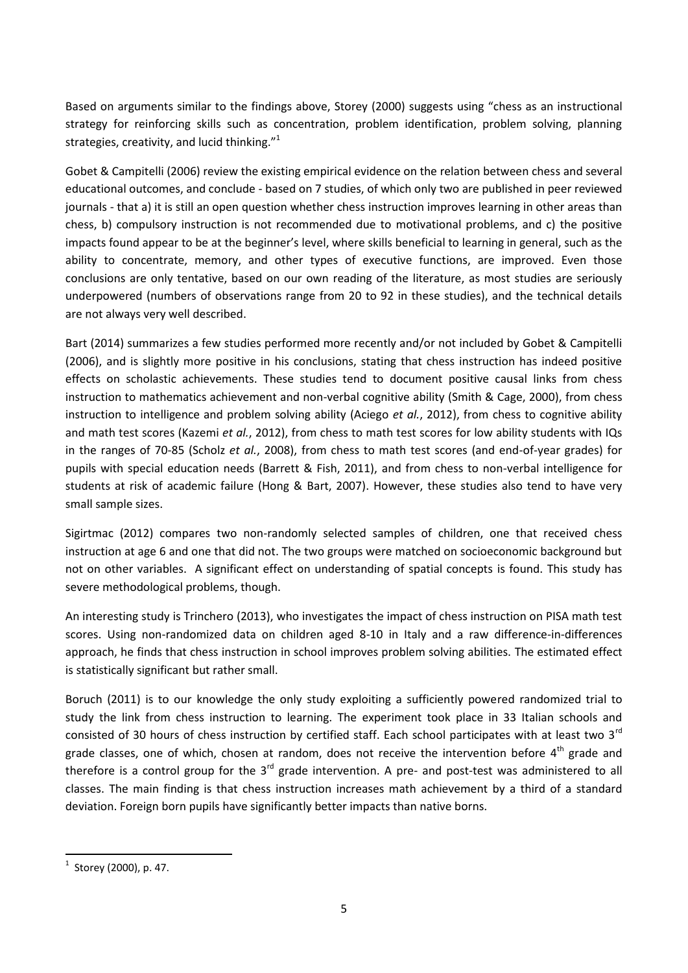Based on arguments similar to the findings above, Storey (2000) suggests using "chess as an instructional strategy for reinforcing skills such as concentration, problem identification, problem solving, planning strategies, creativity, and lucid thinking."<sup>1</sup>

Gobet & Campitelli (2006) review the existing empirical evidence on the relation between chess and several educational outcomes, and conclude - based on 7 studies, of which only two are published in peer reviewed journals - that a) it is still an open question whether chess instruction improves learning in other areas than chess, b) compulsory instruction is not recommended due to motivational problems, and c) the positive impacts found appear to be at the beginner's level, where skills beneficial to learning in general, such as the ability to concentrate, memory, and other types of executive functions, are improved. Even those conclusions are only tentative, based on our own reading of the literature, as most studies are seriously underpowered (numbers of observations range from 20 to 92 in these studies), and the technical details are not always very well described.

Bart (2014) summarizes a few studies performed more recently and/or not included by Gobet & Campitelli (2006), and is slightly more positive in his conclusions, stating that chess instruction has indeed positive effects on scholastic achievements. These studies tend to document positive causal links from chess instruction to mathematics achievement and non-verbal cognitive ability (Smith & Cage, 2000), from chess instruction to intelligence and problem solving ability (Aciego *et al.*, 2012), from chess to cognitive ability and math test scores (Kazemi *et al.*, 2012), from chess to math test scores for low ability students with IQs in the ranges of 70-85 (Scholz *et al.*, 2008), from chess to math test scores (and end-of-year grades) for pupils with special education needs (Barrett & Fish, 2011), and from chess to non-verbal intelligence for students at risk of academic failure (Hong & Bart, 2007). However, these studies also tend to have very small sample sizes.

Sigirtmac (2012) compares two non-randomly selected samples of children, one that received chess instruction at age 6 and one that did not. The two groups were matched on socioeconomic background but not on other variables. A significant effect on understanding of spatial concepts is found. This study has severe methodological problems, though.

An interesting study is Trinchero (2013), who investigates the impact of chess instruction on PISA math test scores. Using non-randomized data on children aged 8-10 in Italy and a raw difference-in-differences approach, he finds that chess instruction in school improves problem solving abilities. The estimated effect is statistically significant but rather small.

Boruch (2011) is to our knowledge the only study exploiting a sufficiently powered randomized trial to study the link from chess instruction to learning. The experiment took place in 33 Italian schools and consisted of 30 hours of chess instruction by certified staff. Each school participates with at least two 3<sup>rd</sup> grade classes, one of which, chosen at random, does not receive the intervention before  $4<sup>th</sup>$  grade and therefore is a control group for the  $3<sup>rd</sup>$  grade intervention. A pre- and post-test was administered to all classes. The main finding is that chess instruction increases math achievement by a third of a standard deviation. Foreign born pupils have significantly better impacts than native borns.

 1 Storey (2000), p. 47.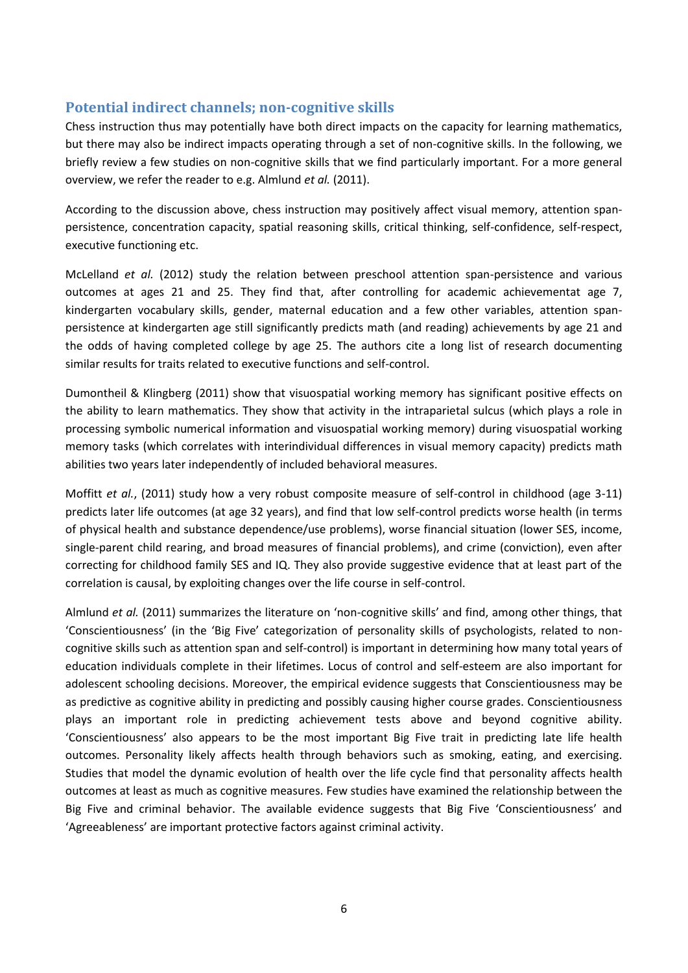#### **Potential indirect channels; non-cognitive skills**

Chess instruction thus may potentially have both direct impacts on the capacity for learning mathematics, but there may also be indirect impacts operating through a set of non-cognitive skills. In the following, we briefly review a few studies on non-cognitive skills that we find particularly important. For a more general overview, we refer the reader to e.g. Almlund *et al.* (2011).

According to the discussion above, chess instruction may positively affect visual memory, attention spanpersistence, concentration capacity, spatial reasoning skills, critical thinking, self-confidence, self-respect, executive functioning etc.

McLelland *et al.* (2012) study the relation between preschool attention span-persistence and various outcomes at ages 21 and 25. They find that, after controlling for academic achievementat age 7, kindergarten vocabulary skills, gender, maternal education and a few other variables, attention spanpersistence at kindergarten age still significantly predicts math (and reading) achievements by age 21 and the odds of having completed college by age 25. The authors cite a long list of research documenting similar results for traits related to executive functions and self-control.

Dumontheil & Klingberg (2011) show that visuospatial working memory has significant positive effects on the ability to learn mathematics. They show that activity in the intraparietal sulcus (which plays a role in processing symbolic numerical information and visuospatial working memory) during visuospatial working memory tasks (which correlates with interindividual differences in visual memory capacity) predicts math abilities two years later independently of included behavioral measures.

Moffitt *et al.*, (2011) study how a very robust composite measure of self-control in childhood (age 3-11) predicts later life outcomes (at age 32 years), and find that low self-control predicts worse health (in terms of physical health and substance dependence/use problems), worse financial situation (lower SES, income, single-parent child rearing, and broad measures of financial problems), and crime (conviction), even after correcting for childhood family SES and IQ. They also provide suggestive evidence that at least part of the correlation is causal, by exploiting changes over the life course in self-control.

Almlund *et al.* (2011) summarizes the literature on 'non-cognitive skills' and find, among other things, that 'Conscientiousness' (in the 'Big Five' categorization of personality skills of psychologists, related to noncognitive skills such as attention span and self-control) is important in determining how many total years of education individuals complete in their lifetimes. Locus of control and self-esteem are also important for adolescent schooling decisions. Moreover, the empirical evidence suggests that Conscientiousness may be as predictive as cognitive ability in predicting and possibly causing higher course grades. Conscientiousness plays an important role in predicting achievement tests above and beyond cognitive ability. 'Conscientiousness' also appears to be the most important Big Five trait in predicting late life health outcomes. Personality likely affects health through behaviors such as smoking, eating, and exercising. Studies that model the dynamic evolution of health over the life cycle find that personality affects health outcomes at least as much as cognitive measures. Few studies have examined the relationship between the Big Five and criminal behavior. The available evidence suggests that Big Five 'Conscientiousness' and 'Agreeableness' are important protective factors against criminal activity.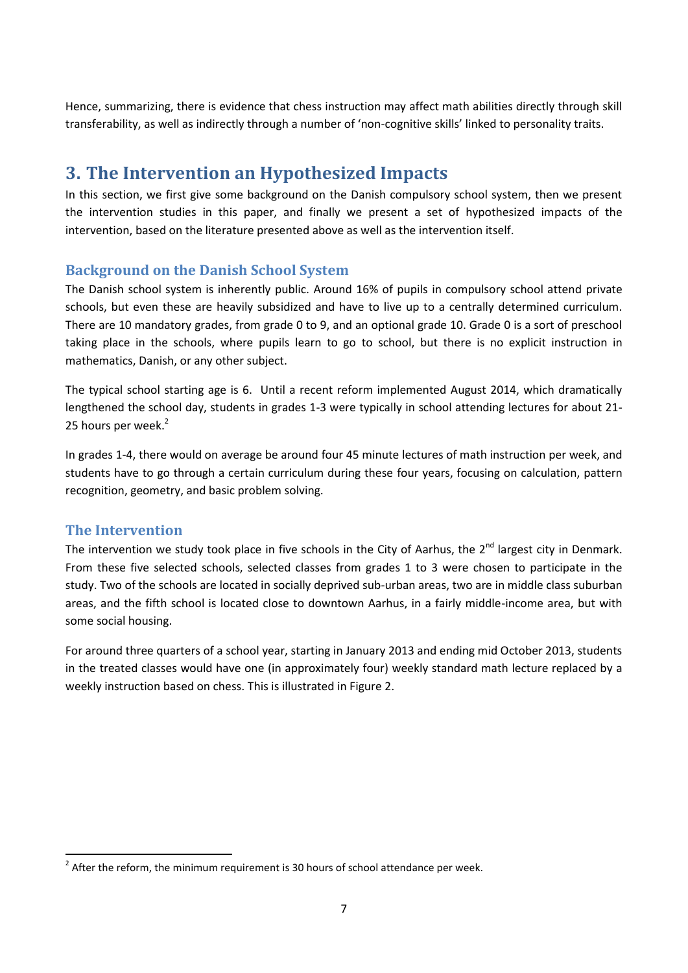Hence, summarizing, there is evidence that chess instruction may affect math abilities directly through skill transferability, as well as indirectly through a number of 'non-cognitive skills' linked to personality traits.

### **3. The Intervention an Hypothesized Impacts**

In this section, we first give some background on the Danish compulsory school system, then we present the intervention studies in this paper, and finally we present a set of hypothesized impacts of the intervention, based on the literature presented above as well as the intervention itself.

### **Background on the Danish School System**

The Danish school system is inherently public. Around 16% of pupils in compulsory school attend private schools, but even these are heavily subsidized and have to live up to a centrally determined curriculum. There are 10 mandatory grades, from grade 0 to 9, and an optional grade 10. Grade 0 is a sort of preschool taking place in the schools, where pupils learn to go to school, but there is no explicit instruction in mathematics, Danish, or any other subject.

The typical school starting age is 6. Until a recent reform implemented August 2014, which dramatically lengthened the school day, students in grades 1-3 were typically in school attending lectures for about 21- 25 hours per week.<sup>2</sup>

In grades 1-4, there would on average be around four 45 minute lectures of math instruction per week, and students have to go through a certain curriculum during these four years, focusing on calculation, pattern recognition, geometry, and basic problem solving.

### **The Intervention**

**.** 

The intervention we study took place in five schools in the City of Aarhus, the  $2^{nd}$  largest city in Denmark. From these five selected schools, selected classes from grades 1 to 3 were chosen to participate in the study. Two of the schools are located in socially deprived sub-urban areas, two are in middle class suburban areas, and the fifth school is located close to downtown Aarhus, in a fairly middle-income area, but with some social housing.

For around three quarters of a school year, starting in January 2013 and ending mid October 2013, students in the treated classes would have one (in approximately four) weekly standard math lecture replaced by a weekly instruction based on chess. This is illustrated in Figure 2.

 $2$  After the reform, the minimum requirement is 30 hours of school attendance per week.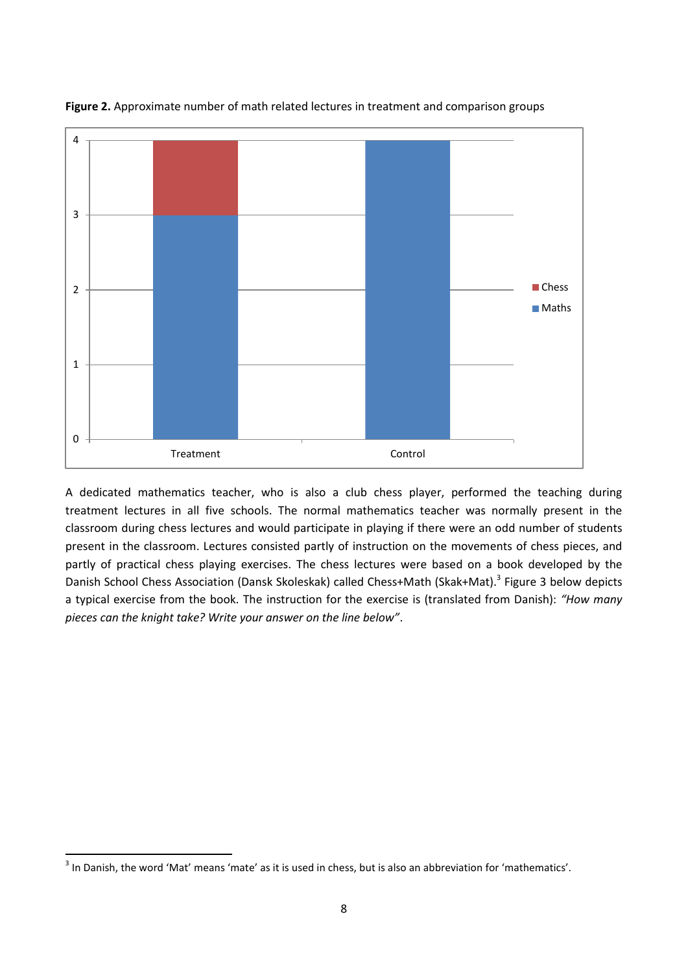

**Figure 2.** Approximate number of math related lectures in treatment and comparison groups

A dedicated mathematics teacher, who is also a club chess player, performed the teaching during treatment lectures in all five schools. The normal mathematics teacher was normally present in the classroom during chess lectures and would participate in playing if there were an odd number of students present in the classroom. Lectures consisted partly of instruction on the movements of chess pieces, and partly of practical chess playing exercises. The chess lectures were based on a book developed by the Danish School Chess Association (Dansk Skoleskak) called Chess+Math (Skak+Mat).<sup>3</sup> Figure 3 below depicts a typical exercise from the book. The instruction for the exercise is (translated from Danish): *"How many pieces can the knight take? Write your answer on the line below"*.

 3 In Danish, the word 'Mat' means 'mate' as it is used in chess, but is also an abbreviation for 'mathematics'.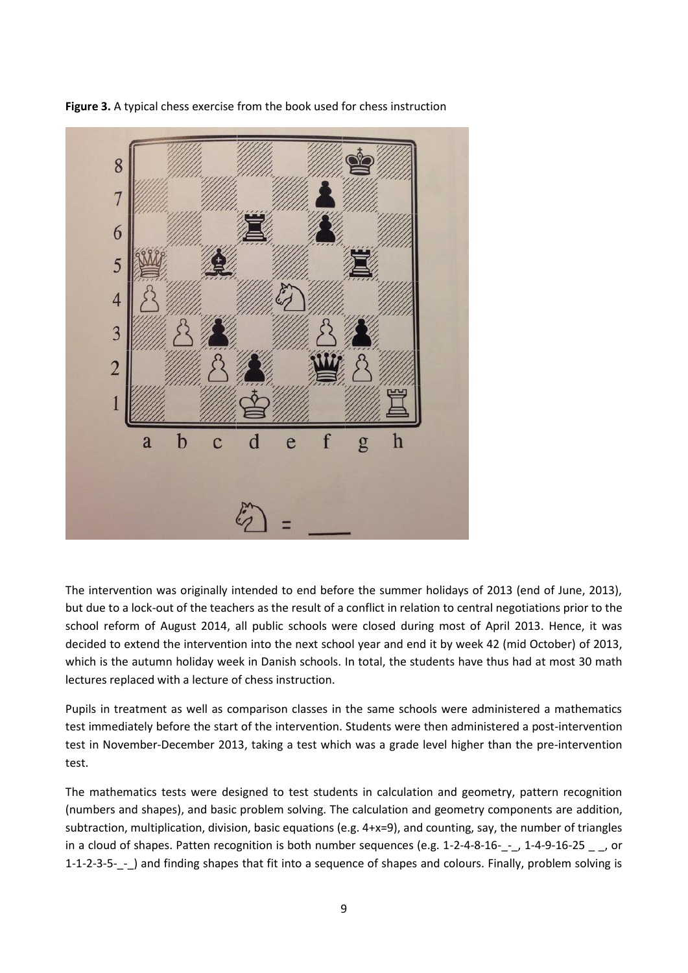

**Figure 3.** A typical chess exercise from the book used for chess instruction

The intervention was originally intended to end before the summer holidays of 2013 (end of June, 2013), but due to a lock-out of the teachers as the result of a conflict in relation to central negotiations prior to the school reform of August 2014, all public schools were closed during most of April 2013. Hence, it was decided to extend the intervention into the next school year and end it by week 42 (mid October) of 2013, which is the autumn holiday week in Danish schools. In total, the students have thus had at most 30 math lectures replaced with a lecture of chess instruction.

Pupils in treatment as well as comparison classes in the same schools were administered a mathematics test immediately before the start of the intervention. Students were then administered a post-intervention test in November-December 2013, taking a test which was a grade level higher than the pre-intervention test.

The mathematics tests were designed to test students in calculation and geometry, pattern recognition (numbers and shapes), and basic problem solving. The calculation and geometry components are addition, subtraction, multiplication, division, basic equations (e.g. 4+x=9), and counting, say, the number of triangles in a cloud of shapes. Patten recognition is both number sequences (e.g. 1-2-4-8-16-<sub>1</sub>-<sub>1</sub>, 1-4-9-16-25 <sub>1</sub>, or 1-1-2-3-5-\_-\_) and finding shapes that fit into a sequence of shapes and colours. Finally, problem solving is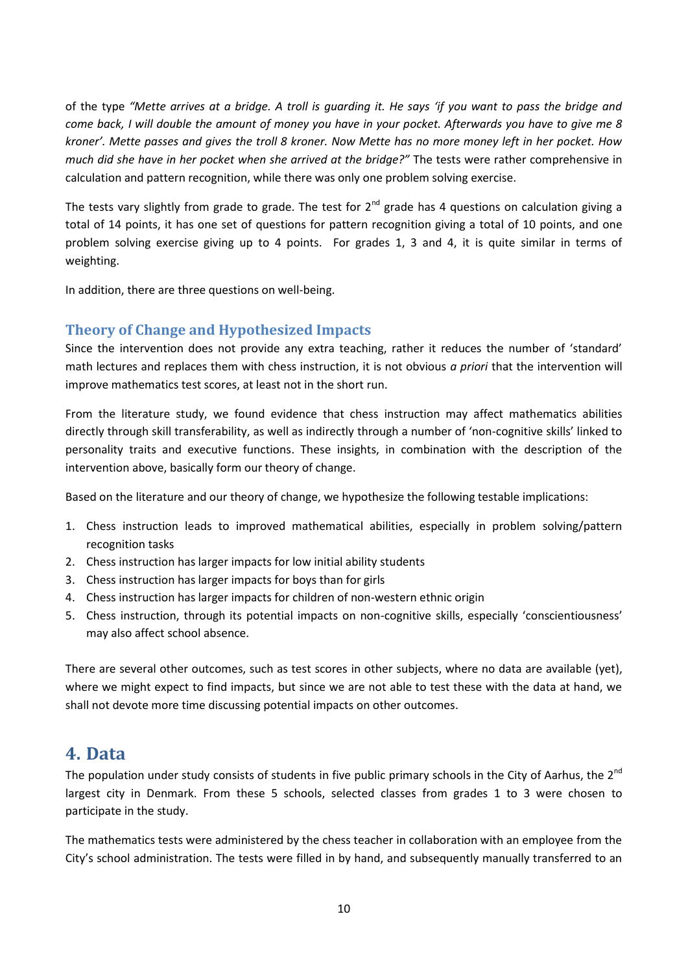of the type *"Mette arrives at a bridge. A troll is guarding it. He says 'if you want to pass the bridge and come back, I will double the amount of money you have in your pocket. Afterwards you have to give me 8 kroner'. Mette passes and gives the troll 8 kroner. Now Mette has no more money left in her pocket. How much did she have in her pocket when she arrived at the bridge?"* The tests were rather comprehensive in calculation and pattern recognition, while there was only one problem solving exercise.

The tests vary slightly from grade to grade. The test for  $2^{nd}$  grade has 4 questions on calculation giving a total of 14 points, it has one set of questions for pattern recognition giving a total of 10 points, and one problem solving exercise giving up to 4 points. For grades 1, 3 and 4, it is quite similar in terms of weighting.

In addition, there are three questions on well-being.

### **Theory of Change and Hypothesized Impacts**

Since the intervention does not provide any extra teaching, rather it reduces the number of 'standard' math lectures and replaces them with chess instruction, it is not obvious *a priori* that the intervention will improve mathematics test scores, at least not in the short run.

From the literature study, we found evidence that chess instruction may affect mathematics abilities directly through skill transferability, as well as indirectly through a number of 'non-cognitive skills' linked to personality traits and executive functions. These insights, in combination with the description of the intervention above, basically form our theory of change.

Based on the literature and our theory of change, we hypothesize the following testable implications:

- 1. Chess instruction leads to improved mathematical abilities, especially in problem solving/pattern recognition tasks
- 2. Chess instruction has larger impacts for low initial ability students
- 3. Chess instruction has larger impacts for boys than for girls
- 4. Chess instruction has larger impacts for children of non-western ethnic origin
- 5. Chess instruction, through its potential impacts on non-cognitive skills, especially 'conscientiousness' may also affect school absence.

There are several other outcomes, such as test scores in other subjects, where no data are available (yet), where we might expect to find impacts, but since we are not able to test these with the data at hand, we shall not devote more time discussing potential impacts on other outcomes.

### **4. Data**

The population under study consists of students in five public primary schools in the City of Aarhus, the  $2^{nd}$ largest city in Denmark. From these 5 schools, selected classes from grades 1 to 3 were chosen to participate in the study.

The mathematics tests were administered by the chess teacher in collaboration with an employee from the City's school administration. The tests were filled in by hand, and subsequently manually transferred to an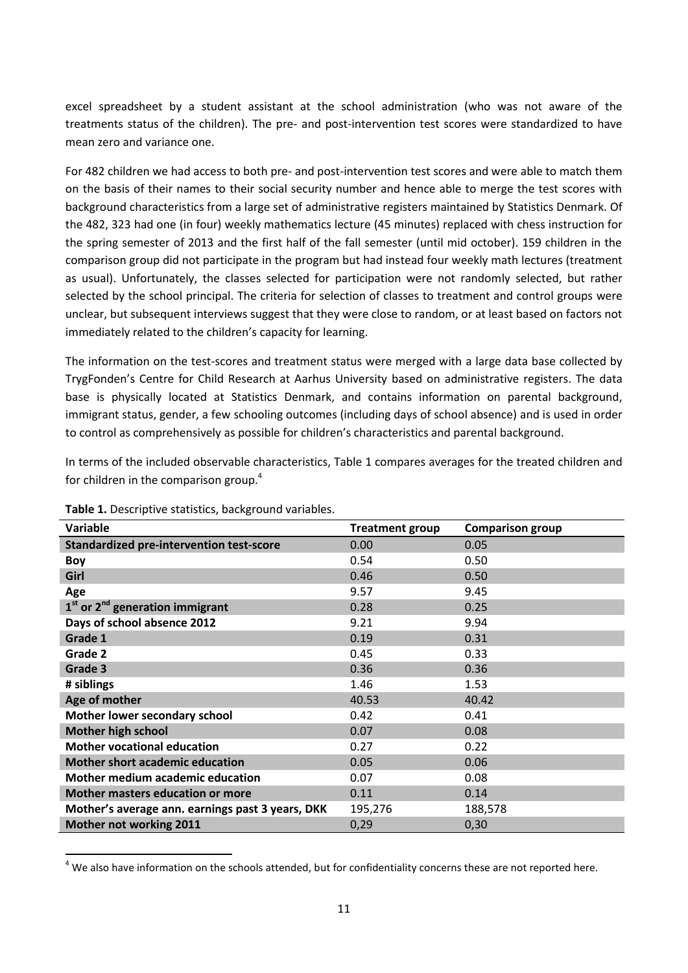excel spreadsheet by a student assistant at the school administration (who was not aware of the treatments status of the children). The pre- and post-intervention test scores were standardized to have mean zero and variance one.

For 482 children we had access to both pre- and post-intervention test scores and were able to match them on the basis of their names to their social security number and hence able to merge the test scores with background characteristics from a large set of administrative registers maintained by Statistics Denmark. Of the 482, 323 had one (in four) weekly mathematics lecture (45 minutes) replaced with chess instruction for the spring semester of 2013 and the first half of the fall semester (until mid october). 159 children in the comparison group did not participate in the program but had instead four weekly math lectures (treatment as usual). Unfortunately, the classes selected for participation were not randomly selected, but rather selected by the school principal. The criteria for selection of classes to treatment and control groups were unclear, but subsequent interviews suggest that they were close to random, or at least based on factors not immediately related to the children's capacity for learning.

The information on the test-scores and treatment status were merged with a large data base collected by TrygFonden's Centre for Child Research at Aarhus University based on administrative registers. The data base is physically located at Statistics Denmark, and contains information on parental background, immigrant status, gender, a few schooling outcomes (including days of school absence) and is used in order to control as comprehensively as possible for children's characteristics and parental background.

In terms of the included observable characteristics, Table 1 compares averages for the treated children and for children in the comparison group.<sup>4</sup>

| Variable                                         | <b>Treatment group</b> | <b>Comparison group</b> |
|--------------------------------------------------|------------------------|-------------------------|
| <b>Standardized pre-intervention test-score</b>  | 0.00                   | 0.05                    |
| Boy                                              | 0.54                   | 0.50                    |
| Girl                                             | 0.46                   | 0.50                    |
| Age                                              | 9.57                   | 9.45                    |
| $1st$ or $2nd$ generation immigrant              | 0.28                   | 0.25                    |
| Days of school absence 2012                      | 9.21                   | 9.94                    |
| Grade 1                                          | 0.19                   | 0.31                    |
| Grade 2                                          | 0.45                   | 0.33                    |
| Grade 3                                          | 0.36                   | 0.36                    |
| # siblings                                       | 1.46                   | 1.53                    |
| Age of mother                                    | 40.53                  | 40.42                   |
| Mother lower secondary school                    | 0.42                   | 0.41                    |
| <b>Mother high school</b>                        | 0.07                   | 0.08                    |
| <b>Mother vocational education</b>               | 0.27                   | 0.22                    |
| <b>Mother short academic education</b>           | 0.05                   | 0.06                    |
| Mother medium academic education                 | 0.07                   | 0.08                    |
| <b>Mother masters education or more</b>          | 0.11                   | 0.14                    |
| Mother's average ann. earnings past 3 years, DKK | 195,276                | 188,578                 |
| Mother not working 2011                          | 0,29                   | 0,30                    |

**Table 1.** Descriptive statistics, background variables.

**.** 

 $4$  We also have information on the schools attended, but for confidentiality concerns these are not reported here.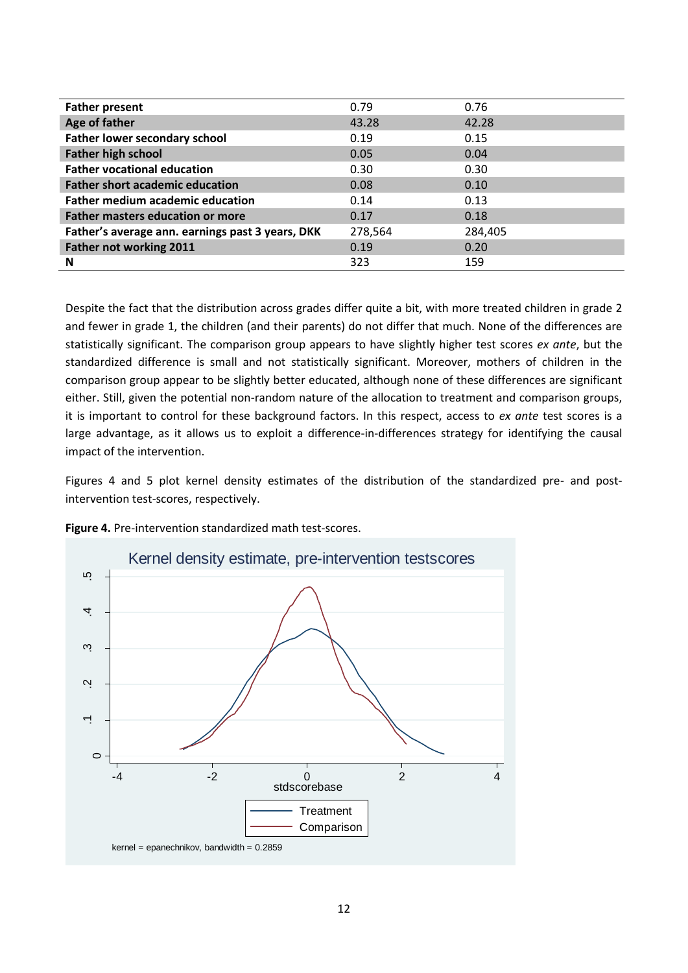|                                                  | 0.79    | 0.76    |
|--------------------------------------------------|---------|---------|
| <b>Father present</b>                            |         |         |
| Age of father                                    | 43.28   | 42.28   |
| <b>Father lower secondary school</b>             | 0.19    | 0.15    |
| <b>Father high school</b>                        | 0.05    | 0.04    |
| <b>Father vocational education</b>               | 0.30    | 0.30    |
| <b>Father short academic education</b>           | 0.08    | 0.10    |
| <b>Father medium academic education</b>          | 0.14    | 0.13    |
| <b>Father masters education or more</b>          | 0.17    | 0.18    |
| Father's average ann. earnings past 3 years, DKK | 278,564 | 284,405 |
| Father not working 2011                          | 0.19    | 0.20    |
| N                                                | 323     | 159     |

Despite the fact that the distribution across grades differ quite a bit, with more treated children in grade 2 and fewer in grade 1, the children (and their parents) do not differ that much. None of the differences are statistically significant. The comparison group appears to have slightly higher test scores *ex ante*, but the standardized difference is small and not statistically significant. Moreover, mothers of children in the comparison group appear to be slightly better educated, although none of these differences are significant either. Still, given the potential non-random nature of the allocation to treatment and comparison groups, it is important to control for these background factors. In this respect, access to *ex ante* test scores is a large advantage, as it allows us to exploit a difference-in-differences strategy for identifying the causal impact of the intervention.

Figures 4 and 5 plot kernel density estimates of the distribution of the standardized pre- and postintervention test-scores, respectively.



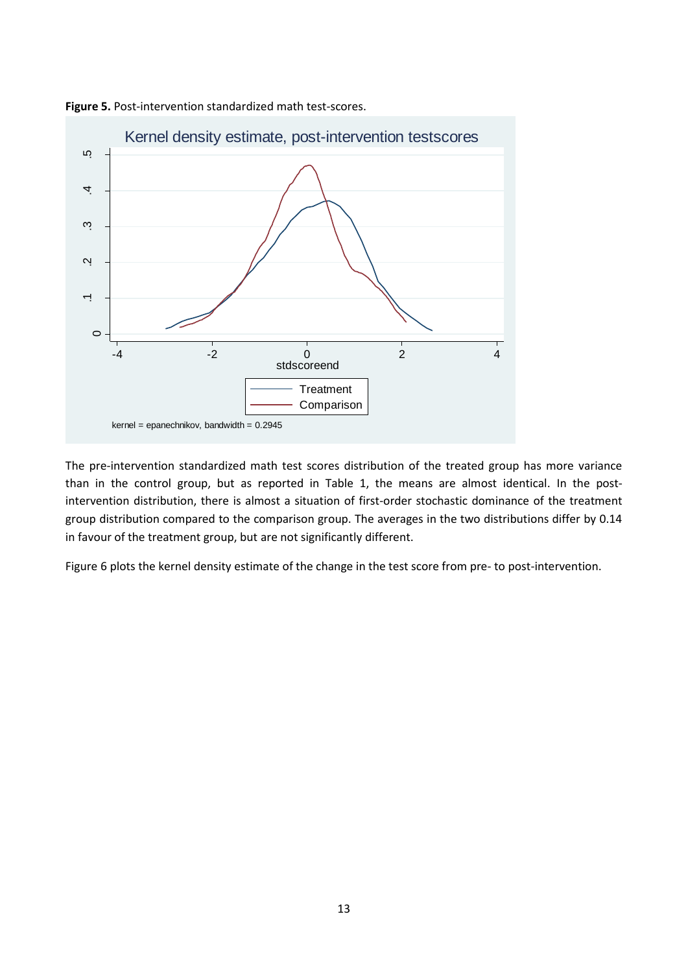



The pre-intervention standardized math test scores distribution of the treated group has more variance than in the control group, but as reported in Table 1, the means are almost identical. In the postintervention distribution, there is almost a situation of first-order stochastic dominance of the treatment group distribution compared to the comparison group. The averages in the two distributions differ by 0.14 in favour of the treatment group, but are not significantly different.

Figure 6 plots the kernel density estimate of the change in the test score from pre- to post-intervention.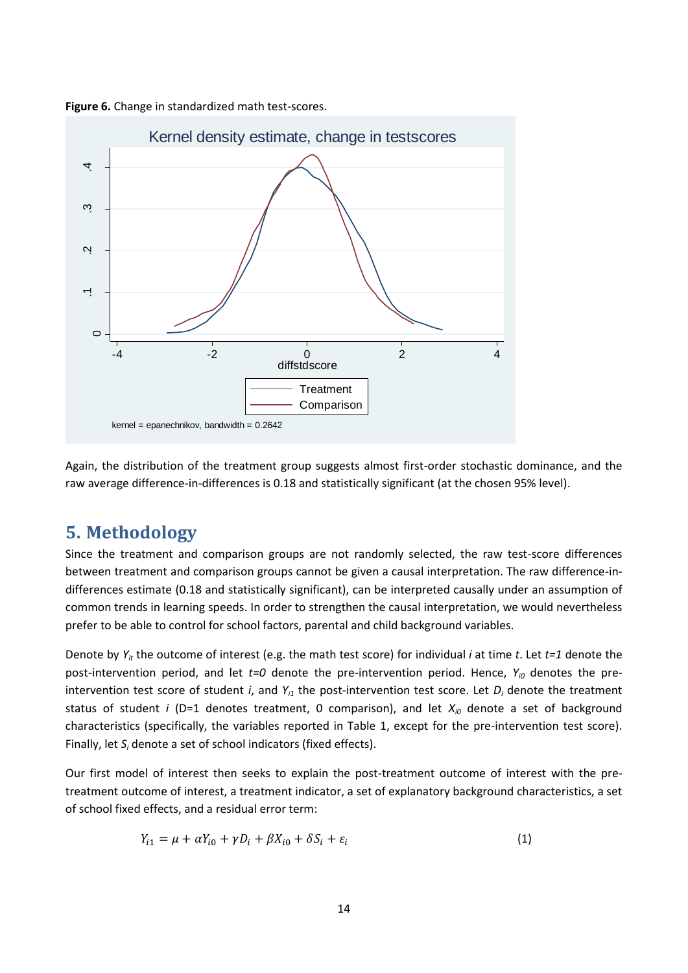

**Figure 6.** Change in standardized math test-scores.

Again, the distribution of the treatment group suggests almost first-order stochastic dominance, and the raw average difference-in-differences is 0.18 and statistically significant (at the chosen 95% level).

### **5. Methodology**

Since the treatment and comparison groups are not randomly selected, the raw test-score differences between treatment and comparison groups cannot be given a causal interpretation. The raw difference-indifferences estimate (0.18 and statistically significant), can be interpreted causally under an assumption of common trends in learning speeds. In order to strengthen the causal interpretation, we would nevertheless prefer to be able to control for school factors, parental and child background variables.

Denote by *Yit* the outcome of interest (e.g. the math test score) for individual *i* at time *t*. Let *t=1* denote the post-intervention period, and let *t=0* denote the pre-intervention period. Hence, *Yi0* denotes the preintervention test score of student *i*, and  $Y_{i1}$  the post-intervention test score. Let  $D_i$  denote the treatment status of student *i* (D=1 denotes treatment, 0 comparison), and let  $X_{i0}$  denote a set of background characteristics (specifically, the variables reported in Table 1, except for the pre-intervention test score). Finally, let *S<sup>i</sup>* denote a set of school indicators (fixed effects).

Our first model of interest then seeks to explain the post-treatment outcome of interest with the pretreatment outcome of interest, a treatment indicator, a set of explanatory background characteristics, a set of school fixed effects, and a residual error term:

$$
Y_{i1} = \mu + \alpha Y_{i0} + \gamma D_i + \beta X_{i0} + \delta S_i + \varepsilon_i
$$
\n<sup>(1)</sup>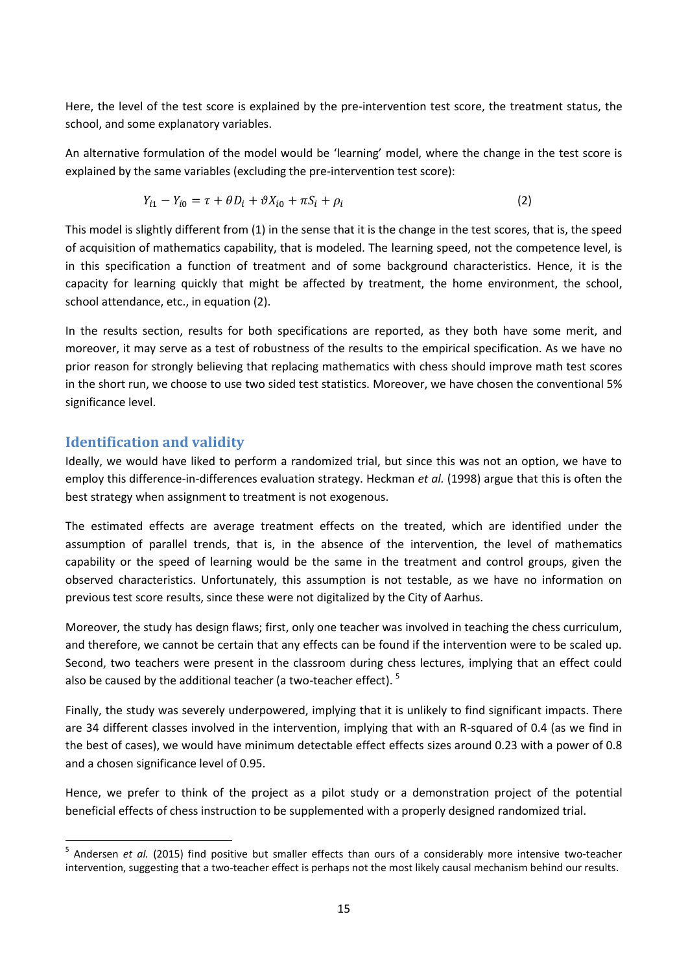Here, the level of the test score is explained by the pre-intervention test score, the treatment status, the school, and some explanatory variables.

An alternative formulation of the model would be 'learning' model, where the change in the test score is explained by the same variables (excluding the pre-intervention test score):

$$
Y_{i1} - Y_{i0} = \tau + \theta D_i + \theta X_{i0} + \pi S_i + \rho_i
$$
\n(2)

This model is slightly different from (1) in the sense that it is the change in the test scores, that is, the speed of acquisition of mathematics capability, that is modeled. The learning speed, not the competence level, is in this specification a function of treatment and of some background characteristics. Hence, it is the capacity for learning quickly that might be affected by treatment, the home environment, the school, school attendance, etc., in equation (2).

In the results section, results for both specifications are reported, as they both have some merit, and moreover, it may serve as a test of robustness of the results to the empirical specification. As we have no prior reason for strongly believing that replacing mathematics with chess should improve math test scores in the short run, we choose to use two sided test statistics. Moreover, we have chosen the conventional 5% significance level.

#### **Identification and validity**

Ideally, we would have liked to perform a randomized trial, but since this was not an option, we have to employ this difference-in-differences evaluation strategy. Heckman *et al.* (1998) argue that this is often the best strategy when assignment to treatment is not exogenous.

The estimated effects are average treatment effects on the treated, which are identified under the assumption of parallel trends, that is, in the absence of the intervention, the level of mathematics capability or the speed of learning would be the same in the treatment and control groups, given the observed characteristics. Unfortunately, this assumption is not testable, as we have no information on previous test score results, since these were not digitalized by the City of Aarhus.

Moreover, the study has design flaws; first, only one teacher was involved in teaching the chess curriculum, and therefore, we cannot be certain that any effects can be found if the intervention were to be scaled up. Second, two teachers were present in the classroom during chess lectures, implying that an effect could also be caused by the additional teacher (a two-teacher effect).  $5$ 

Finally, the study was severely underpowered, implying that it is unlikely to find significant impacts. There are 34 different classes involved in the intervention, implying that with an R-squared of 0.4 (as we find in the best of cases), we would have minimum detectable effect effects sizes around 0.23 with a power of 0.8 and a chosen significance level of 0.95.

Hence, we prefer to think of the project as a pilot study or a demonstration project of the potential beneficial effects of chess instruction to be supplemented with a properly designed randomized trial.

 5 Andersen *et al.* (2015) find positive but smaller effects than ours of a considerably more intensive two-teacher intervention, suggesting that a two-teacher effect is perhaps not the most likely causal mechanism behind our results.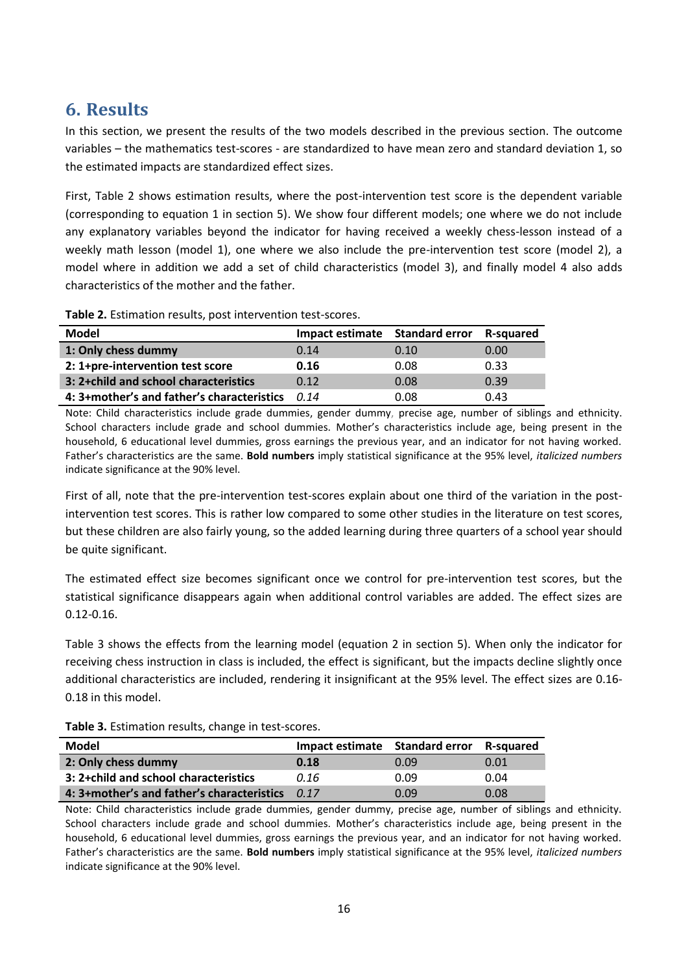# **6. Results**

In this section, we present the results of the two models described in the previous section. The outcome variables – the mathematics test-scores - are standardized to have mean zero and standard deviation 1, so the estimated impacts are standardized effect sizes.

First, Table 2 shows estimation results, where the post-intervention test score is the dependent variable (corresponding to equation 1 in section 5). We show four different models; one where we do not include any explanatory variables beyond the indicator for having received a weekly chess-lesson instead of a weekly math lesson (model 1), one where we also include the pre-intervention test score (model 2), a model where in addition we add a set of child characteristics (model 3), and finally model 4 also adds characteristics of the mother and the father.

**Table 2.** Estimation results, post intervention test-scores.

| Model                                      | Impact estimate Standard error |      | <b>R-squared</b> |
|--------------------------------------------|--------------------------------|------|------------------|
| 1: Only chess dummy                        | 0.14                           | 0.10 | 0.00             |
| 2: 1+pre-intervention test score           | 0.16                           | 0.08 | 0.33             |
| 3: 2+child and school characteristics      | 0.12                           | 0.08 | 0.39             |
| 4: 3+mother's and father's characteristics | 0.14                           | 0.08 | 0.43             |

Note: Child characteristics include grade dummies, gender dummy, precise age, number of siblings and ethnicity. School characters include grade and school dummies. Mother's characteristics include age, being present in the household, 6 educational level dummies, gross earnings the previous year, and an indicator for not having worked. Father's characteristics are the same. **Bold numbers** imply statistical significance at the 95% level, *italicized numbers* indicate significance at the 90% level.

First of all, note that the pre-intervention test-scores explain about one third of the variation in the postintervention test scores. This is rather low compared to some other studies in the literature on test scores, but these children are also fairly young, so the added learning during three quarters of a school year should be quite significant.

The estimated effect size becomes significant once we control for pre-intervention test scores, but the statistical significance disappears again when additional control variables are added. The effect sizes are 0.12-0.16.

Table 3 shows the effects from the learning model (equation 2 in section 5). When only the indicator for receiving chess instruction in class is included, the effect is significant, but the impacts decline slightly once additional characteristics are included, rendering it insignificant at the 95% level. The effect sizes are 0.16- 0.18 in this model.

**Table 3.** Estimation results, change in test-scores.

| Model                                      | Impact estimate Standard error |      | <b>R-squared</b> |
|--------------------------------------------|--------------------------------|------|------------------|
| 2: Only chess dummy                        | 0.18                           | 0.09 | 0.01             |
| 3: 2+child and school characteristics      | 0.16                           | 0.09 | 0.04             |
| 4: 3+mother's and father's characteristics | 0.17                           | 0.09 | 0.08             |

Note: Child characteristics include grade dummies, gender dummy, precise age, number of siblings and ethnicity. School characters include grade and school dummies. Mother's characteristics include age, being present in the household, 6 educational level dummies, gross earnings the previous year, and an indicator for not having worked. Father's characteristics are the same. **Bold numbers** imply statistical significance at the 95% level, *italicized numbers* indicate significance at the 90% level.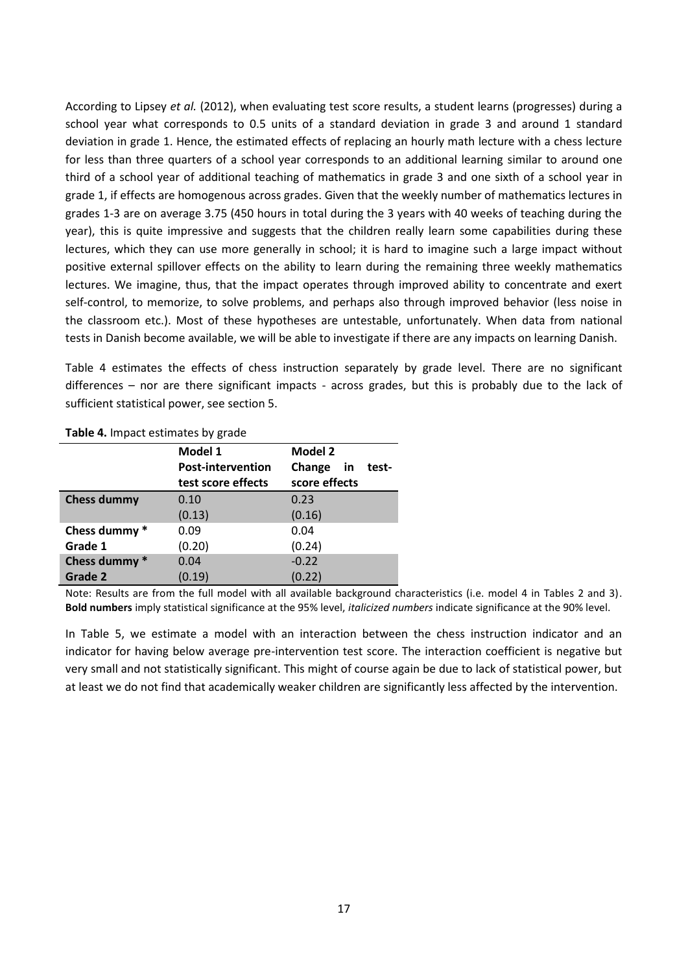According to Lipsey *et al.* (2012), when evaluating test score results, a student learns (progresses) during a school year what corresponds to 0.5 units of a standard deviation in grade 3 and around 1 standard deviation in grade 1. Hence, the estimated effects of replacing an hourly math lecture with a chess lecture for less than three quarters of a school year corresponds to an additional learning similar to around one third of a school year of additional teaching of mathematics in grade 3 and one sixth of a school year in grade 1, if effects are homogenous across grades. Given that the weekly number of mathematics lectures in grades 1-3 are on average 3.75 (450 hours in total during the 3 years with 40 weeks of teaching during the year), this is quite impressive and suggests that the children really learn some capabilities during these lectures, which they can use more generally in school; it is hard to imagine such a large impact without positive external spillover effects on the ability to learn during the remaining three weekly mathematics lectures. We imagine, thus, that the impact operates through improved ability to concentrate and exert self-control, to memorize, to solve problems, and perhaps also through improved behavior (less noise in the classroom etc.). Most of these hypotheses are untestable, unfortunately. When data from national tests in Danish become available, we will be able to investigate if there are any impacts on learning Danish.

Table 4 estimates the effects of chess instruction separately by grade level. There are no significant differences – nor are there significant impacts - across grades, but this is probably due to the lack of sufficient statistical power, see section 5.

|                    | Model 1                  | <b>Model 2</b>        |
|--------------------|--------------------------|-----------------------|
|                    | <b>Post-intervention</b> | Change<br>in<br>test- |
|                    | test score effects       | score effects         |
| <b>Chess dummy</b> | 0.10                     | 0.23                  |
|                    | (0.13)                   | (0.16)                |
| Chess dummy *      | 0.09                     | 0.04                  |
| Grade 1            | (0.20)                   | (0.24)                |
| Chess dummy *      | 0.04                     | $-0.22$               |
| Grade 2            | (0.19)                   | (0.22)                |

**Table 4.** Impact estimates by grade

Note: Results are from the full model with all available background characteristics (i.e. model 4 in Tables 2 and 3). **Bold numbers** imply statistical significance at the 95% level, *italicized numbers* indicate significance at the 90% level.

In Table 5, we estimate a model with an interaction between the chess instruction indicator and an indicator for having below average pre-intervention test score. The interaction coefficient is negative but very small and not statistically significant. This might of course again be due to lack of statistical power, but at least we do not find that academically weaker children are significantly less affected by the intervention.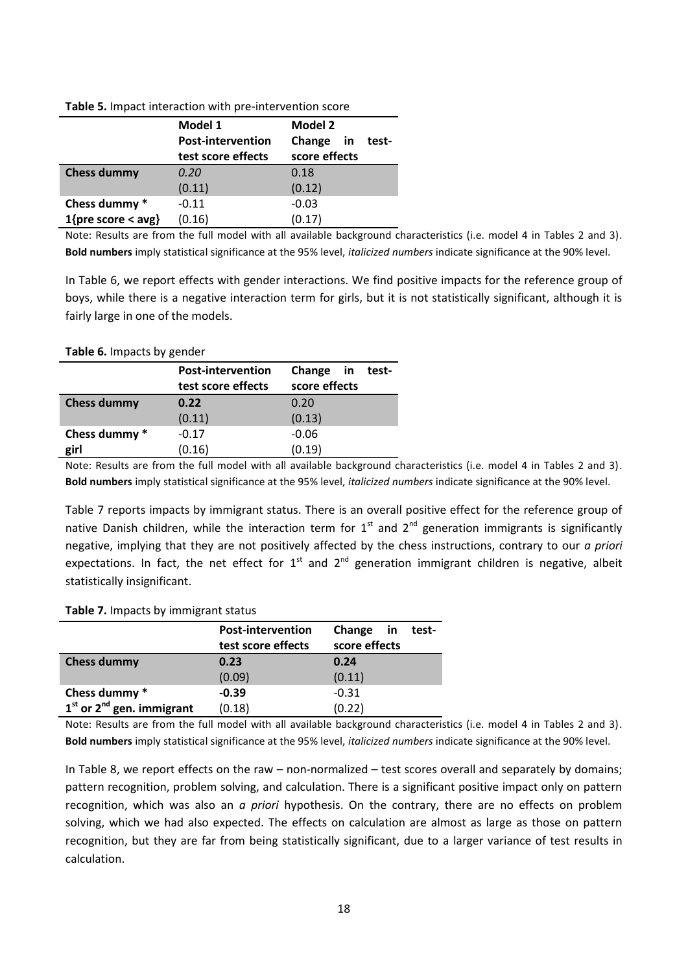|                    | Model 1                  | Model 2               |
|--------------------|--------------------------|-----------------------|
|                    | <b>Post-intervention</b> | Change<br>test-<br>in |
|                    | test score effects       | score effects         |
| <b>Chess dummy</b> | 0.20                     | 0.18                  |
|                    | (0.11)                   | (0.12)                |
| Chess dummy *      | $-0.11$                  | $-0.03$               |
| 1{pre score < avg} | (0.16)                   | (0.17)                |

**Table 5.** Impact interaction with pre-intervention score

Note: Results are from the full model with all available background characteristics (i.e. model 4 in Tables 2 and 3). **Bold numbers** imply statistical significance at the 95% level, *italicized numbers* indicate significance at the 90% level.

In Table 6, we report effects with gender interactions. We find positive impacts for the reference group of boys, while there is a negative interaction term for girls, but it is not statistically significant, although it is fairly large in one of the models.

#### **Table 6.** Impacts by gender

|                    | <b>Post-intervention</b> | Change<br>in in<br>test- |
|--------------------|--------------------------|--------------------------|
|                    | test score effects       | score effects            |
| <b>Chess dummy</b> | 0.22                     | 0.20                     |
|                    | (0.11)                   | (0.13)                   |
| Chess dummy *      | $-0.17$                  | $-0.06$                  |
| girl               | (0.16)                   | (0.19)                   |
|                    |                          |                          |

Note: Results are from the full model with all available background characteristics (i.e. model 4 in Tables 2 and 3). **Bold numbers** imply statistical significance at the 95% level, *italicized numbers* indicate significance at the 90% level.

Table 7 reports impacts by immigrant status. There is an overall positive effect for the reference group of native Danish children, while the interaction term for  $1<sup>st</sup>$  and  $2<sup>nd</sup>$  generation immigrants is significantly negative, implying that they are not positively affected by the chess instructions, contrary to our *a priori* expectations. In fact, the net effect for  $1<sup>st</sup>$  and  $2<sup>nd</sup>$  generation immigrant children is negative, albeit statistically insignificant.

#### **Table 7.** Impacts by immigrant status

|                               | <b>Post-intervention</b> | Change<br>in  | test- |
|-------------------------------|--------------------------|---------------|-------|
|                               | test score effects       | score effects |       |
| <b>Chess dummy</b>            | 0.23                     | 0.24          |       |
|                               | (0.09)                   | (0.11)        |       |
| Chess dummy *                 | $-0.39$                  | $-0.31$       |       |
| $1st$ or $2nd$ gen. immigrant | (0.18)                   | (0.22)        |       |

Note: Results are from the full model with all available background characteristics (i.e. model 4 in Tables 2 and 3). **Bold numbers** imply statistical significance at the 95% level, *italicized numbers* indicate significance at the 90% level.

In Table 8, we report effects on the raw – non-normalized – test scores overall and separately by domains; pattern recognition, problem solving, and calculation. There is a significant positive impact only on pattern recognition, which was also an *a priori* hypothesis. On the contrary, there are no effects on problem solving, which we had also expected. The effects on calculation are almost as large as those on pattern recognition, but they are far from being statistically significant, due to a larger variance of test results in calculation.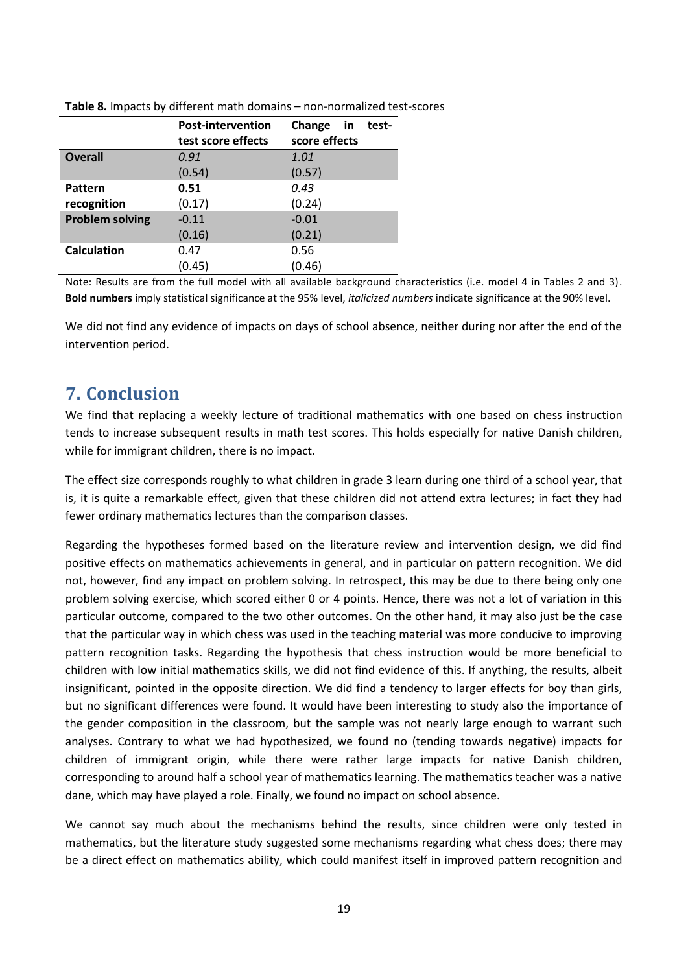|                        | <b>Post-intervention</b> | Change<br>test-<br>in |
|------------------------|--------------------------|-----------------------|
|                        | test score effects       | score effects         |
| <b>Overall</b>         | 0.91                     | 1.01                  |
|                        | (0.54)                   | (0.57)                |
| Pattern                | 0.51                     | 0.43                  |
| recognition            | (0.17)                   | (0.24)                |
| <b>Problem solving</b> | $-0.11$                  | $-0.01$               |
|                        | (0.16)                   | (0.21)                |
| <b>Calculation</b>     | 0.47                     | 0.56                  |
|                        | (0.45)                   | (0.46)                |

**Table 8.** Impacts by different math domains – non-normalized test-scores

Note: Results are from the full model with all available background characteristics (i.e. model 4 in Tables 2 and 3). **Bold numbers** imply statistical significance at the 95% level, *italicized numbers* indicate significance at the 90% level.

We did not find any evidence of impacts on days of school absence, neither during nor after the end of the intervention period.

### **7. Conclusion**

We find that replacing a weekly lecture of traditional mathematics with one based on chess instruction tends to increase subsequent results in math test scores. This holds especially for native Danish children, while for immigrant children, there is no impact.

The effect size corresponds roughly to what children in grade 3 learn during one third of a school year, that is, it is quite a remarkable effect, given that these children did not attend extra lectures; in fact they had fewer ordinary mathematics lectures than the comparison classes.

Regarding the hypotheses formed based on the literature review and intervention design, we did find positive effects on mathematics achievements in general, and in particular on pattern recognition. We did not, however, find any impact on problem solving. In retrospect, this may be due to there being only one problem solving exercise, which scored either 0 or 4 points. Hence, there was not a lot of variation in this particular outcome, compared to the two other outcomes. On the other hand, it may also just be the case that the particular way in which chess was used in the teaching material was more conducive to improving pattern recognition tasks. Regarding the hypothesis that chess instruction would be more beneficial to children with low initial mathematics skills, we did not find evidence of this. If anything, the results, albeit insignificant, pointed in the opposite direction. We did find a tendency to larger effects for boy than girls, but no significant differences were found. It would have been interesting to study also the importance of the gender composition in the classroom, but the sample was not nearly large enough to warrant such analyses. Contrary to what we had hypothesized, we found no (tending towards negative) impacts for children of immigrant origin, while there were rather large impacts for native Danish children, corresponding to around half a school year of mathematics learning. The mathematics teacher was a native dane, which may have played a role. Finally, we found no impact on school absence.

We cannot say much about the mechanisms behind the results, since children were only tested in mathematics, but the literature study suggested some mechanisms regarding what chess does; there may be a direct effect on mathematics ability, which could manifest itself in improved pattern recognition and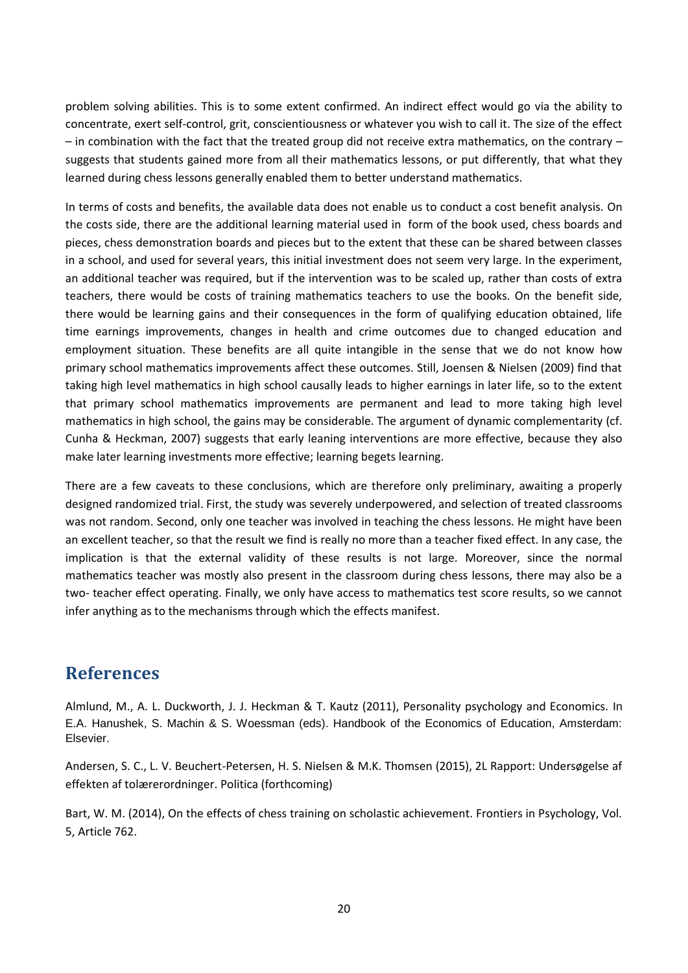problem solving abilities. This is to some extent confirmed. An indirect effect would go via the ability to concentrate, exert self-control, grit, conscientiousness or whatever you wish to call it. The size of the effect – in combination with the fact that the treated group did not receive extra mathematics, on the contrary – suggests that students gained more from all their mathematics lessons, or put differently, that what they learned during chess lessons generally enabled them to better understand mathematics.

In terms of costs and benefits, the available data does not enable us to conduct a cost benefit analysis. On the costs side, there are the additional learning material used in form of the book used, chess boards and pieces, chess demonstration boards and pieces but to the extent that these can be shared between classes in a school, and used for several years, this initial investment does not seem very large. In the experiment, an additional teacher was required, but if the intervention was to be scaled up, rather than costs of extra teachers, there would be costs of training mathematics teachers to use the books. On the benefit side, there would be learning gains and their consequences in the form of qualifying education obtained, life time earnings improvements, changes in health and crime outcomes due to changed education and employment situation. These benefits are all quite intangible in the sense that we do not know how primary school mathematics improvements affect these outcomes. Still, Joensen & Nielsen (2009) find that taking high level mathematics in high school causally leads to higher earnings in later life, so to the extent that primary school mathematics improvements are permanent and lead to more taking high level mathematics in high school, the gains may be considerable. The argument of dynamic complementarity (cf. Cunha & Heckman, 2007) suggests that early leaning interventions are more effective, because they also make later learning investments more effective; learning begets learning.

There are a few caveats to these conclusions, which are therefore only preliminary, awaiting a properly designed randomized trial. First, the study was severely underpowered, and selection of treated classrooms was not random. Second, only one teacher was involved in teaching the chess lessons. He might have been an excellent teacher, so that the result we find is really no more than a teacher fixed effect. In any case, the implication is that the external validity of these results is not large. Moreover, since the normal mathematics teacher was mostly also present in the classroom during chess lessons, there may also be a two- teacher effect operating. Finally, we only have access to mathematics test score results, so we cannot infer anything as to the mechanisms through which the effects manifest.

### **References**

Almlund, M., A. L. Duckworth, J. J. Heckman & T. Kautz (2011), Personality psychology and Economics. In E.A. Hanushek, S. Machin & S. Woessman (eds). Handbook of the Economics of Education, Amsterdam: Elsevier.

Andersen, S. C., L. V. Beuchert-Petersen, H. S. Nielsen & M.K. Thomsen (2015), 2L Rapport: Undersøgelse af effekten af tolærerordninger. Politica (forthcoming)

Bart, W. M. (2014), On the effects of chess training on scholastic achievement. Frontiers in Psychology, Vol. 5, Article 762.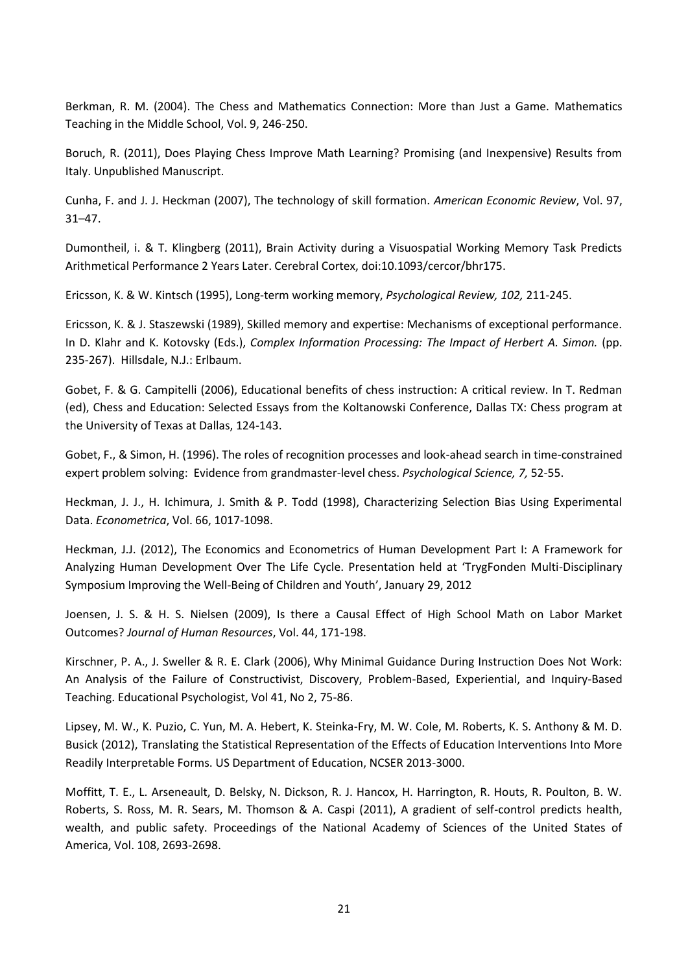Berkman, R. M. (2004). The Chess and Mathematics Connection: More than Just a Game. Mathematics Teaching in the Middle School, Vol. 9, 246-250.

Boruch, R. (2011), Does Playing Chess Improve Math Learning? Promising (and Inexpensive) Results from Italy. Unpublished Manuscript.

Cunha, F. and J. J. Heckman (2007), The technology of skill formation. *American Economic Review*, Vol. 97, 31–47.

Dumontheil, i. & T. Klingberg (2011), Brain Activity during a Visuospatial Working Memory Task Predicts Arithmetical Performance 2 Years Later. Cerebral Cortex, doi:10.1093/cercor/bhr175.

Ericsson, K. & W. Kintsch (1995), Long-term working memory, *Psychological Review, 102,* 211-245.

Ericsson, K. & J. Staszewski (1989), Skilled memory and expertise: Mechanisms of exceptional performance. In D. Klahr and K. Kotovsky (Eds.), *Complex Information Processing: The Impact of Herbert A. Simon.* (pp. 235-267). Hillsdale, N.J.: Erlbaum.

Gobet, F. & G. Campitelli (2006), Educational benefits of chess instruction: A critical review. In T. Redman (ed), Chess and Education: Selected Essays from the Koltanowski Conference, Dallas TX: Chess program at the University of Texas at Dallas, 124-143.

Gobet, F., & Simon, H. (1996). The roles of recognition processes and look-ahead search in time-constrained expert problem solving: Evidence from grandmaster-level chess. *Psychological Science, 7,* 52-55.

Heckman, J. J., H. Ichimura, J. Smith & P. Todd (1998), Characterizing Selection Bias Using Experimental Data. *Econometrica*, Vol. 66, 1017-1098.

Heckman, J.J. (2012), The Economics and Econometrics of Human Development Part I: A Framework for Analyzing Human Development Over The Life Cycle. Presentation held at 'TrygFonden Multi-Disciplinary Symposium Improving the Well-Being of Children and Youth', January 29, 2012

Joensen, J. S. & H. S. Nielsen (2009), Is there a Causal Effect of High School Math on Labor Market Outcomes? *Journal of Human Resources*, Vol. 44, 171-198.

Kirschner, P. A., J. Sweller & R. E. Clark (2006), Why Minimal Guidance During Instruction Does Not Work: An Analysis of the Failure of Constructivist, Discovery, Problem-Based, Experiential, and Inquiry-Based Teaching. Educational Psychologist, Vol 41, No 2, 75-86.

Lipsey, M. W., K. Puzio, C. Yun, M. A. Hebert, K. Steinka-Fry, M. W. Cole, M. Roberts, K. S. Anthony & M. D. Busick (2012), Translating the Statistical Representation of the Effects of Education Interventions Into More Readily Interpretable Forms. US Department of Education, NCSER 2013-3000.

Moffitt, T. E., L. Arseneault, D. Belsky, N. Dickson, R. J. Hancox, H. Harrington, R. Houts, R. Poulton, B. W. Roberts, S. Ross, M. R. Sears, M. Thomson & A. Caspi (2011), A gradient of self-control predicts health, wealth, and public safety. Proceedings of the National Academy of Sciences of the United States of America, Vol. 108, 2693-2698.